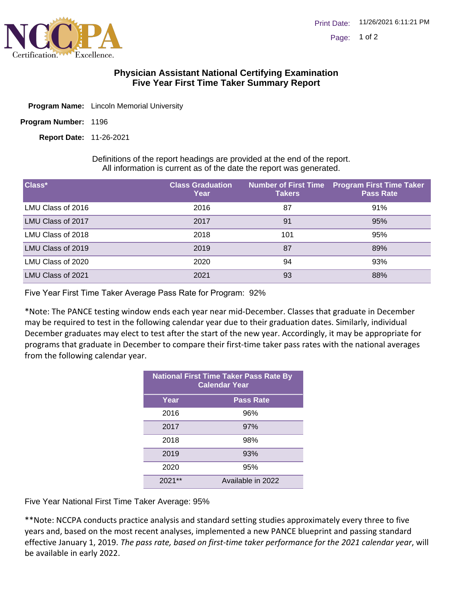

## **Physician Assistant National Certifying Examination Five Year First Time Taker Summary Report**

- Program Name: Lincoln Memorial University
- Program Number: 1196

11-26-2021 **Report Date:**

Definitions of the report headings are provided at the end of the report. All information is current as of the date the report was generated.

| Class*            | <b>Class Graduation</b><br>Year | <b>Takers</b> | <b>Number of First Time Program First Time Taker</b><br><b>Pass Rate</b> |
|-------------------|---------------------------------|---------------|--------------------------------------------------------------------------|
| LMU Class of 2016 | 2016                            | 87            | 91%                                                                      |
| LMU Class of 2017 | 2017                            | 91            | 95%                                                                      |
| LMU Class of 2018 | 2018                            | 101           | 95%                                                                      |
| LMU Class of 2019 | 2019                            | 87            | 89%                                                                      |
| LMU Class of 2020 | 2020                            | 94            | 93%                                                                      |
| LMU Class of 2021 | 2021                            | 93            | 88%                                                                      |

Five Year First Time Taker Average Pass Rate for Program: 92%

\*Note: The PANCE testing window ends each year near mid-December. Classes that graduate in December may be required to test in the following calendar year due to their graduation dates. Similarly, individual December graduates may elect to test after the start of the new year. Accordingly, it may be appropriate for programs that graduate in December to compare their first-time taker pass rates with the national averages from the following calendar year.

| <b>National First Time Taker Pass Rate By</b><br><b>Calendar Year</b> |                   |  |
|-----------------------------------------------------------------------|-------------------|--|
| Year                                                                  | <b>Pass Rate</b>  |  |
| 2016                                                                  | 96%               |  |
| 2017                                                                  | 97%               |  |
| 2018                                                                  | 98%               |  |
| 2019                                                                  | 93%               |  |
| 2020                                                                  | 95%               |  |
| $***$<br>2021                                                         | Available in 2022 |  |

Five Year National First Time Taker Average: 95%

\*\*Note: NCCPA conducts practice analysis and standard setting studies approximately every three to five years and, based on the most recent analyses, implemented a new PANCE blueprint and passing standard effective January 1, 2019. *The pass rate, based on first-time taker performance for the 2021 calendar year*, will be available in early 2022.